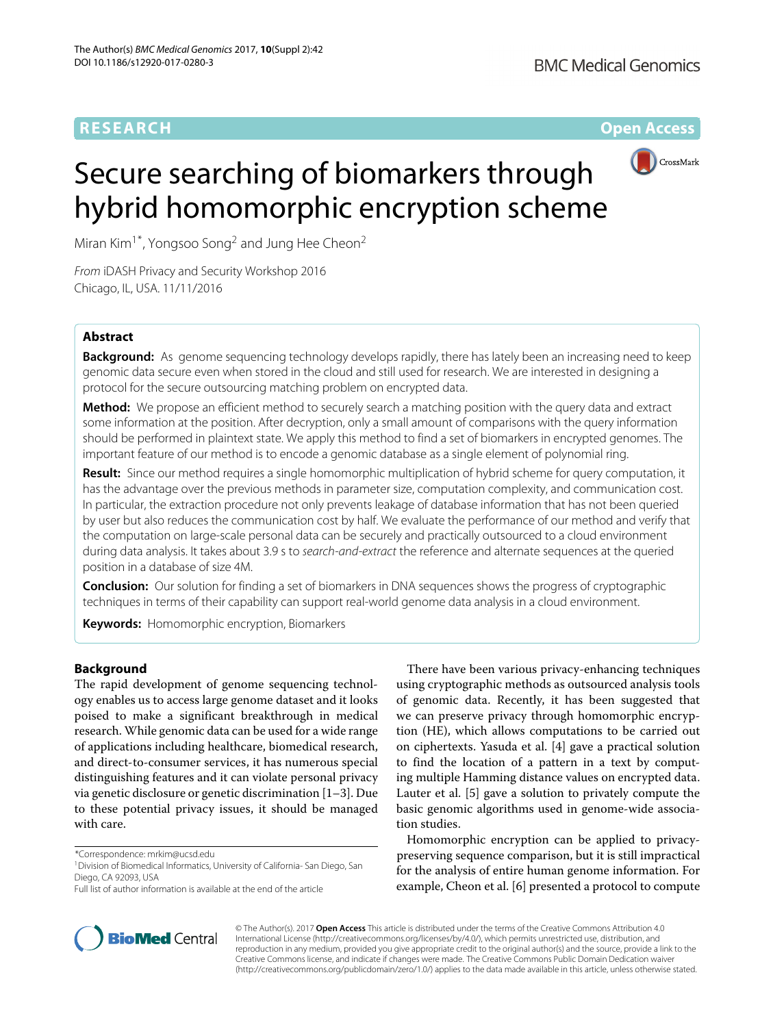# **RESEARCH Open Access**



# Secure searching of biomarkers through hybrid homomorphic encryption scheme

Miran Kim<sup>1\*</sup>, Yongsoo Song<sup>2</sup> and Jung Hee Cheon<sup>2</sup>

From iDASH Privacy and Security Workshop 2016 Chicago, IL, USA. 11/11/2016

# **Abstract**

**Background:** As genome sequencing technology develops rapidly, there has lately been an increasing need to keep genomic data secure even when stored in the cloud and still used for research. We are interested in designing a protocol for the secure outsourcing matching problem on encrypted data.

**Method:** We propose an efficient method to securely search a matching position with the query data and extract some information at the position. After decryption, only a small amount of comparisons with the query information should be performed in plaintext state. We apply this method to find a set of biomarkers in encrypted genomes. The important feature of our method is to encode a genomic database as a single element of polynomial ring.

**Result:** Since our method requires a single homomorphic multiplication of hybrid scheme for query computation, it has the advantage over the previous methods in parameter size, computation complexity, and communication cost. In particular, the extraction procedure not only prevents leakage of database information that has not been queried by user but also reduces the communication cost by half. We evaluate the performance of our method and verify that the computation on large-scale personal data can be securely and practically outsourced to a cloud environment during data analysis. It takes about 3.9 s to search-and-extract the reference and alternate sequences at the queried position in a database of size 4M.

**Conclusion:** Our solution for finding a set of biomarkers in DNA sequences shows the progress of cryptographic techniques in terms of their capability can support real-world genome data analysis in a cloud environment.

**Keywords:** Homomorphic encryption, Biomarkers

# **Background**

The rapid development of genome sequencing technology enables us to access large genome dataset and it looks poised to make a significant breakthrough in medical research. While genomic data can be used for a wide range of applications including healthcare, biomedical research, and direct-to-consumer services, it has numerous special distinguishing features and it can violate personal privacy via genetic disclosure or genetic discrimination [\[1](#page-7-0)[–3\]](#page-7-1). Due to these potential privacy issues, it should be managed with care.

\*Correspondence: [mrkim@ucsd.edu](mailto: mrkim@ucsd.edu)

There have been various privacy-enhancing techniques using cryptographic methods as outsourced analysis tools of genomic data. Recently, it has been suggested that we can preserve privacy through homomorphic encryption (HE), which allows computations to be carried out on ciphertexts. Yasuda et al. [\[4\]](#page-7-2) gave a practical solution to find the location of a pattern in a text by computing multiple Hamming distance values on encrypted data. Lauter et al. [\[5\]](#page-7-3) gave a solution to privately compute the basic genomic algorithms used in genome-wide association studies.

Homomorphic encryption can be applied to privacypreserving sequence comparison, but it is still impractical for the analysis of entire human genome information. For example, Cheon et al. [\[6\]](#page-7-4) presented a protocol to compute



© The Author(s). 2017 **Open Access** This article is distributed under the terms of the Creative Commons Attribution 4.0 International License [\(http://creativecommons.org/licenses/by/4.0/\)](http://creativecommons.org/licenses/by/4.0/), which permits unrestricted use, distribution, and reproduction in any medium, provided you give appropriate credit to the original author(s) and the source, provide a link to the Creative Commons license, and indicate if changes were made. The Creative Commons Public Domain Dedication waiver [\(http://creativecommons.org/publicdomain/zero/1.0/\)](http://creativecommons.org/publicdomain/zero/1.0/) applies to the data made available in this article, unless otherwise stated.

<sup>&</sup>lt;sup>1</sup> Division of Biomedical Informatics, University of California- San Diego, San Diego, CA 92093, USA

Full list of author information is available at the end of the article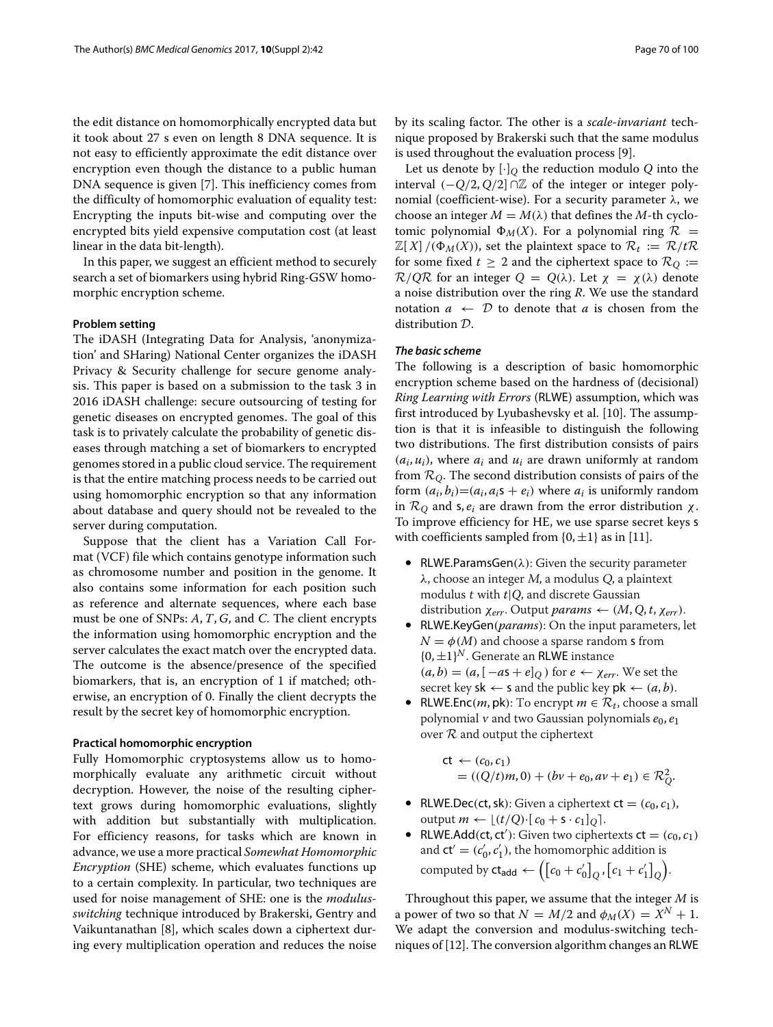the edit distance on homomorphically encrypted data but it took about 27 s even on length 8 DNA sequence. It is not easy to efficiently approximate the edit distance over encryption even though the distance to a public human DNA sequence is given [\[7\]](#page-7-5). This inefficiency comes from the difficulty of homomorphic evaluation of equality test: Encrypting the inputs bit-wise and computing over the encrypted bits yield expensive computation cost (at least linear in the data bit-length).

In this paper, we suggest an efficient method to securely search a set of biomarkers using hybrid Ring-GSW homomorphic encryption scheme.

#### **Problem setting**

The iDASH (Integrating Data for Analysis, 'anonymization' and SHaring) National Center organizes the iDASH Privacy & Security challenge for secure genome analysis. This paper is based on a submission to the task 3 in 2016 iDASH challenge: secure outsourcing of testing for genetic diseases on encrypted genomes. The goal of this task is to privately calculate the probability of genetic diseases through matching a set of biomarkers to encrypted genomes stored in a public cloud service. The requirement is that the entire matching process needs to be carried out using homomorphic encryption so that any information about database and query should not be revealed to the server during computation.

Suppose that the client has a Variation Call Format (VCF) file which contains genotype information such as chromosome number and position in the genome. It also contains some information for each position such as reference and alternate sequences, where each base must be one of SNPs: *A*, *T*, *G*, and *C*. The client encrypts the information using homomorphic encryption and the server calculates the exact match over the encrypted data. The outcome is the absence/presence of the specified biomarkers, that is, an encryption of 1 if matched; otherwise, an encryption of 0. Finally the client decrypts the result by the secret key of homomorphic encryption.

# **Practical homomorphic encryption**

Fully Homomorphic cryptosystems allow us to homomorphically evaluate any arithmetic circuit without decryption. However, the noise of the resulting ciphertext grows during homomorphic evaluations, slightly with addition but substantially with multiplication. For efficiency reasons, for tasks which are known in advance, we use a more practical *Somewhat Homomorphic Encryption* (SHE) scheme, which evaluates functions up to a certain complexity. In particular, two techniques are used for noise management of SHE: one is the *modulusswitching* technique introduced by Brakerski, Gentry and Vaikuntanathan [\[8\]](#page-7-6), which scales down a ciphertext during every multiplication operation and reduces the noise

by its scaling factor. The other is a *scale-invariant* technique proposed by Brakerski such that the same modulus is used throughout the evaluation process [\[9\]](#page-7-7).

Let us denote by  $[\cdot]_Q$  the reduction modulo  $Q$  into the interval  $(-Q/2, Q/2]$  ∩ $\mathbb Z$  of the integer or integer polynomial (coefficient-wise). For a security parameter  $λ$ , we choose an integer  $M = M(\lambda)$  that defines the *M*-th cyclotomic polynomial  $\Phi_M(X)$ . For a polynomial ring  $\mathcal{R}$  =  $\mathbb{Z}[X]/(\Phi_M(X))$ , set the plaintext space to  $\mathcal{R}_t := \mathcal{R}/t\mathcal{R}$ for some fixed  $t \geq 2$  and the ciphertext space to  $\mathcal{R}_Q :=$  $\mathcal{R}/\mathcal{Q}\mathcal{R}$  for an integer  $Q = Q(\lambda)$ . Let  $\chi = \chi(\lambda)$  denote a noise distribution over the ring *R*. We use the standard notation  $a \leftarrow D$  to denote that *a* is chosen from the distribution D.

## *The basic scheme*

The following is a description of basic homomorphic encryption scheme based on the hardness of (decisional) *Ring Learning with Errors* (RLWE) assumption, which was first introduced by Lyubashevsky et al. [\[10\]](#page-7-8). The assumption is that it is infeasible to distinguish the following two distributions. The first distribution consists of pairs  $(a_i, u_i)$ , where  $a_i$  and  $u_i$  are drawn uniformly at random from R*Q*. The second distribution consists of pairs of the form  $(a_i, b_i) = (a_i, a_i s + e_i)$  where  $a_i$  is uniformly random in  $\mathcal{R}_Q$  and s,  $e_i$  are drawn from the error distribution  $\chi$ . To improve efficiency for HE, we use sparse secret keys s with coefficients sampled from  $\{0, \pm 1\}$  as in [\[11\]](#page-7-9).

- RLWE.ParamsGen $(\lambda)$ : Given the security parameter  $\lambda$ , choose an integer M, a modulus Q, a plaintext modulus <sup>t</sup> with *t*|*Q*, and discrete Gaussian distribution  $\chi_{err}$ . Output *params*  $\leftarrow$  (*M*, *Q*, *t*,  $\chi_{err}$ ).
- RLWE.KeyGen(*params*): On the input parameters, let  $N = \phi(M)$  and choose a sparse random **s** from  ${0, \pm 1}^N$ . Generate an RLWE instance  $(a, b) = (a, [ −a**s** + e]<sub>O</sub>)$  for  $e \leftarrow \chi_{err}$ . We set the secret key  $sk \leftarrow s$  and the public key  $pk \leftarrow (a, b)$ .
- RLWE.Enc(*m*, pk): To encrypt  $m \in \mathcal{R}_t$ , choose a small polynomial <sup>v</sup> and two Gaussian polynomials *e*0, *e*<sup>1</sup> over  $R$  and output the ciphertext

ct 
$$
\leftarrow
$$
 (*c*<sub>0</sub>, *c*<sub>1</sub>)  
= ((*Q*/*t*)*m*, 0) + (*bv* + *e*<sub>0</sub>, *av* + *e*<sub>1</sub>)  $\in \mathbb{R}^2_Q$ .

- RLWE.Dec(ct, sk): Given a ciphertext  $ct = (c_0, c_1)$ , output  $m \leftarrow \lfloor (t/Q) \cdot [c_0 + s \cdot c_1]_Q \rfloor$ .
- RLWE.Add(ct, ct'): Given two ciphertexts  $ct = (c_0, c_1)$ and  $ct' = (c'_0, c'_1)$ , the homomorphic addition is  $\text{computed by } \mathsf{ct}_{\mathsf{add}} \leftarrow \Big( \big[ c_0 + c'_0 \big]_Q, \big[ c_1 + c'_1 \big]_Q \Big).$

Throughout this paper, we assume that the integer *M* is a power of two so that  $N = M/2$  and  $\phi_M(X) = X^N + 1$ . We adapt the conversion and modulus-switching techniques of [\[12\]](#page-7-10). The conversion algorithm changes an RLWE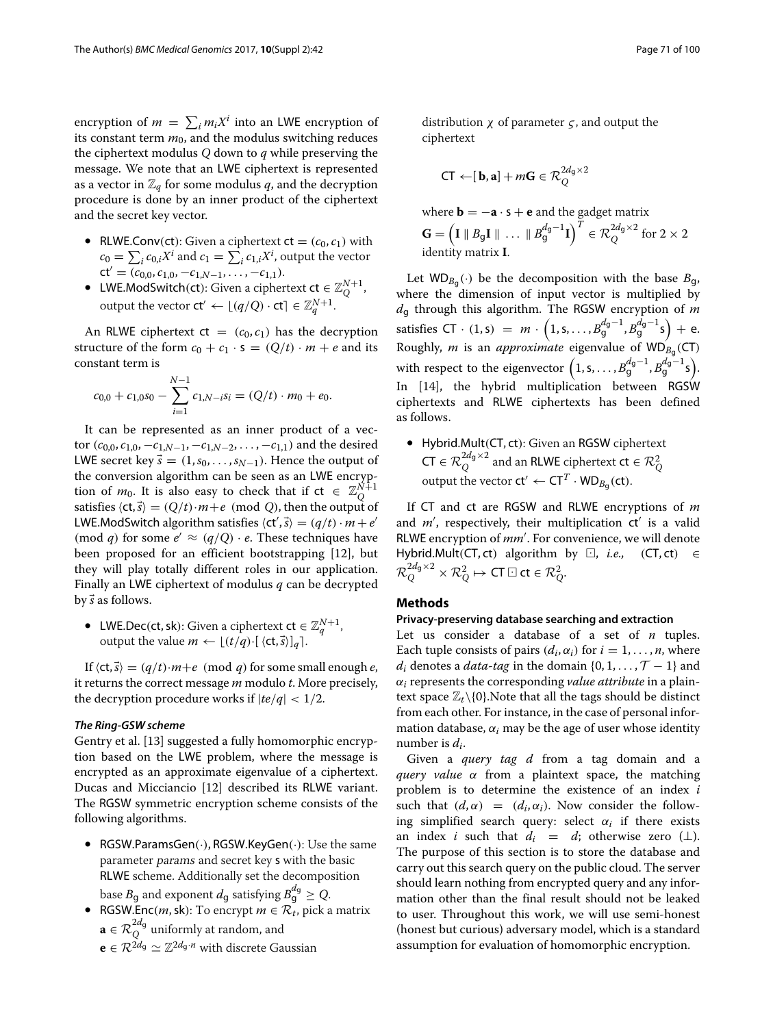encryption of  $m = \sum_i m_i X^i$  into an LWE encryption of its constant term  $m_0$ , and the modulus switching reduces the ciphertext modulus *Q* down to *q* while preserving the message. We note that an LWE ciphertext is represented as a vector in  $\mathbb{Z}_q$  for some modulus  $q$ , and the decryption procedure is done by an inner product of the ciphertext and the secret key vector.

- RLWE.Conv(ct): Given a ciphertext  $ct = (c_0, c_1)$  with  $c_0 = \sum_i c_{0,i} X^i$  and  $c_1 = \sum_i c_{1,i} X^i$ , output the vector  $ct' = (c_{0,0}, c_{1,0}, -c_{1,N-1}, \ldots, -c_{1,1}).$
- $\bullet$  LWE.ModSwitch(ct): Given a ciphertext  $\mathsf{ct} \in \mathbb{Z}_Q^{N+1},$ output the vector  $ct' \leftarrow \lfloor (q/Q) \cdot ct \rceil \in \mathbb{Z}_q^{N+1}.$

An RLWE ciphertext  $ct = (c_0, c_1)$  has the decryption structure of the form  $c_0 + c_1 \cdot s = (Q/t) \cdot m + e$  and its constant term is

$$
c_{0,0} + c_{1,0} s_0 - \sum_{i=1}^{N-1} c_{1,N-i} s_i = (Q/t) \cdot m_0 + e_0.
$$

It can be represented as an inner product of a vec- $\text{tor } (c_{0,0}, c_{1,0}, -c_{1,N-1}, -c_{1,N-2}, \ldots, -c_{1,1})$  and the desired LWE secret key  $\vec{s} = (1, s_0, \ldots, s_{N-1})$ . Hence the output of the conversion algorithm can be seen as an LWE encryption of  $m_0$ . It is also easy to check that if  $ct \in \mathbb{Z}_Q^{N+1}$ satisfies  $\langle ct, \vec{s} \rangle = (Q/t) \cdot m + e \pmod{Q}$ , then the output of LWE.ModSwitch algorithm satisfies  $\langle ct', \vec{s} \rangle = (q/t) \cdot m + e'$ (mod *q*) for some  $e' \approx (q/Q) \cdot e$ . These techniques have been proposed for an efficient bootstrapping [\[12\]](#page-7-10), but they will play totally different roles in our application. Finally an LWE ciphertext of modulus *q* can be decrypted by  $\vec{s}$  as follows.

• LWE.Dec(ct, sk): Given a ciphertext  $ct \in \mathbb{Z}_q^{N+1}$ , output the value  $m \leftarrow \lfloor (t/q) \cdot [\langle ct, \vec{s} \rangle]_q \rceil$ .

If  $\langle ct, \vec{s} \rangle = (q/t) \cdot m + e \pmod{q}$  for some small enough *e*, it returns the correct message *m* modulo *t*. More precisely, the decryption procedure works if  $|te/q| < 1/2$ .

#### *The Ring-GSW scheme*

Gentry et al. [\[13\]](#page-7-11) suggested a fully homomorphic encryption based on the LWE problem, where the message is encrypted as an approximate eigenvalue of a ciphertext. Ducas and Micciancio [\[12\]](#page-7-10) described its RLWE variant. The RGSW symmetric encryption scheme consists of the following algorithms.

- RGSW.ParamsGen $(\cdot)$ , RGSW.KeyGen $(\cdot)$ : Use the same parameter params and secret key s with the basic RLWE scheme. Additionally set the decomposition base  $B_{\textsf{g}}$  and exponent  $d_{\textsf{g}}$  satisfying  $\textit{B}^{d_{\textsf{g}}}_{\textsf{g}}\geq \textit{Q}.$
- RGSW.Enc(*m*, sk): To encrypt  $m \in \mathcal{R}_t$ , pick a matrix  $\mathbf{a}\in\mathcal{R}_{Q}^{2d_{\mathsf{g}}}$  uniformly at random, and **e**  $\in \mathbb{R}^{2d_9} \simeq \mathbb{Z}^{2d_9 \cdot n}$  with discrete Gaussian
	-

distribution  $\chi$  of parameter  $\varsigma$ , and output the ciphertext

$$
CT \leftarrow [\mathbf{b}, \mathbf{a}] + m\mathbf{G} \in \mathcal{R}_Q^{2d_g \times 2}
$$

where **b** = 
$$
-\mathbf{a} \cdot \mathbf{s} + \mathbf{e}
$$
 and the gadget matrix  
\n
$$
\mathbf{G} = \left(\mathbf{I} \parallel B_{g}\mathbf{I} \parallel \ldots \parallel B_{g}^{d_{g}-1}\mathbf{I}\right)^{T} \in \mathcal{R}_{Q}^{2d_{g} \times 2} \text{ for } 2 \times 2
$$
\nidentity matrix **I**.

Let  $WD_{B_0}(\cdot)$  be the decomposition with the base  $B_q$ , where the dimension of input vector is multiplied by *d*<sup>g</sup> through this algorithm. The RGSW encryption of *m* satisfies  $CT \cdot (1, s) = m \cdot (1, s, \ldots, B_g^{d_g-1}, B_g^{d_g-1} s) + e.$ Roughly, *m* is an *approximate* eigenvalue of WD*B*<sup>g</sup> (CT) with respect to the eigenvector  $\left(1,\mathsf{s},\ldots,\mathsf{B}_{\mathsf{g}}^{d_{\mathsf{g}}-1},\mathsf{B}_{\mathsf{g}}^{d_{\mathsf{g}}-1}\mathsf{s}\right)$ . In [\[14\]](#page-7-12), the hybrid multiplication between RGSW ciphertexts and RLWE ciphertexts has been defined as follows.

• Hybrid.Mult(CT, ct): Given an RGSW ciphertext  $\mathsf{CT} \in \mathcal{R}^{2d_{\mathsf{g}} \times 2}_{Q}$  and an <code>RLWE</code> ciphertext  $\mathsf{ct} \in \mathcal{R}^{2}_{Q}$ output the vector  $ct' \leftarrow CT^T \cdot WD_{B_0}(ct)$ .

If CT and ct are RGSW and RLWE encryptions of *m* and *m'*, respectively, their multiplication **ct**' is a valid RLWE encryption of *mm* . For convenience, we will denote  $Hybrid.Mult(CT, ct) algorithm by  $\Box$ , *i.e.*, (CT, ct)  $\in$$  $\mathcal{R}_Q^{2d_{\mathsf{g}}\times 2}\times\mathcal{R}_Q^2\mapsto \mathsf{CT}\boxdot$  ct  $\in\mathcal{R}_Q^2.$ 

# **Methods**

# **Privacy-preserving database searching and extraction**

Let us consider a database of a set of *n* tuples. Each tuple consists of pairs  $(d_i, \alpha_i)$  for  $i = 1, \ldots, n$ , where  $d_i$  denotes a *data-tag* in the domain  $\{0, 1, \ldots, \mathcal{T} - 1\}$  and α*<sup>i</sup>* represents the corresponding *value attribute* in a plaintext space  $\mathbb{Z}_t \setminus \{0\}$ . Note that all the tags should be distinct from each other. For instance, in the case of personal information database,  $\alpha_i$  may be the age of user whose identity number is *di*.

Given a *query tag d* from a tag domain and a *query value* α from a plaintext space, the matching problem is to determine the existence of an index *i* such that  $(d, \alpha) = (d_i, \alpha_i)$ . Now consider the following simplified search query: select  $\alpha_i$  if there exists an index *i* such that  $d_i = d$ ; otherwise zero ( $\perp$ ). The purpose of this section is to store the database and carry out this search query on the public cloud. The server should learn nothing from encrypted query and any information other than the final result should not be leaked to user. Throughout this work, we will use semi-honest (honest but curious) adversary model, which is a standard assumption for evaluation of homomorphic encryption.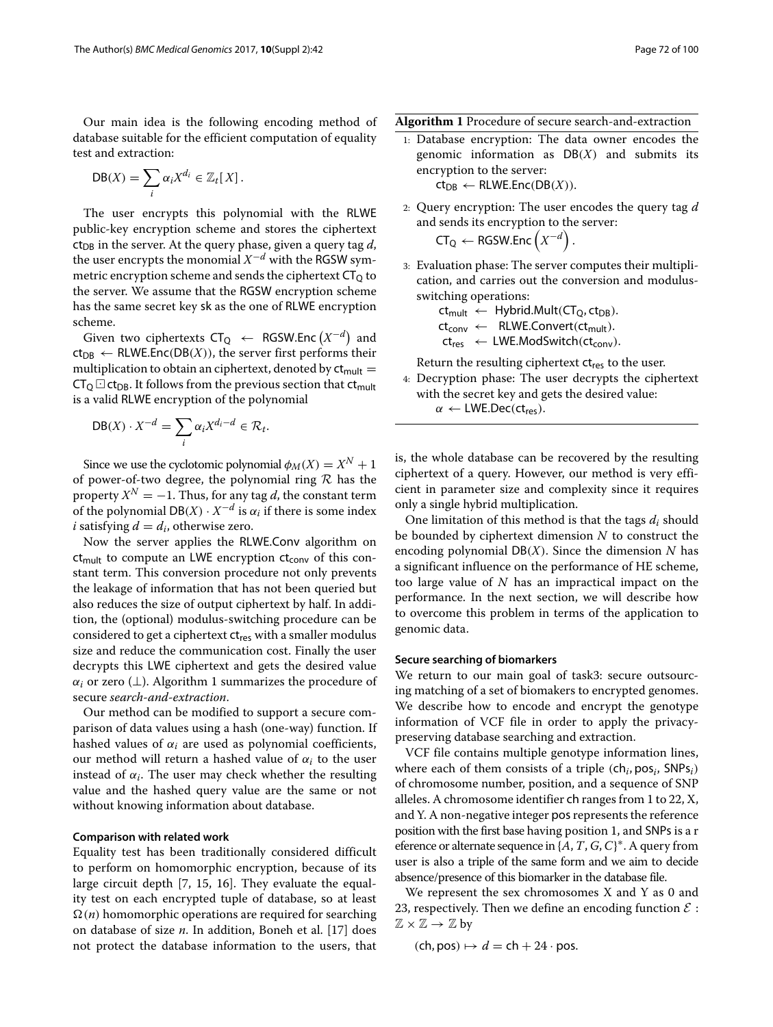Our main idea is the following encoding method of database suitable for the efficient computation of equality test and extraction:

$$
DB(X) = \sum_{i} \alpha_i X^{d_i} \in \mathbb{Z}_t[X].
$$

The user encrypts this polynomial with the RLWE public-key encryption scheme and stores the ciphertext  $ct_{DB}$  in the server. At the query phase, given a query tag  $d$ , the user encrypts the monomial *X*−*<sup>d</sup>* with the RGSW symmetric encryption scheme and sends the ciphertext  $CT_0$  to the server. We assume that the RGSW encryption scheme has the same secret key sk as the one of RLWE encryption scheme.

Given two ciphertexts  $CT_Q \leftarrow RGSW$ . Enc $(X^{-d})$  and  $ct_{DB} \leftarrow$  RLWE.Enc( $DB(X)$ ), the server first performs their multiplication to obtain an ciphertext, denoted by  $ct_{mult}$  =  $\mathsf{CT}_\mathsf{Q} \boxdot \mathsf{ct}_\mathsf{DB}.$  It follows from the previous section that  $\mathsf{ct}_\mathsf{mult}$ is a valid RLWE encryption of the polynomial

$$
DB(X) \cdot X^{-d} = \sum_{i} \alpha_i X^{d_i - d} \in \mathcal{R}_t.
$$

Since we use the cyclotomic polynomial  $\phi_M(X) = X^N + 1$ of power-of-two degree, the polynomial ring  $R$  has the property  $X^N = -1$ . Thus, for any tag *d*, the constant term of the polynomial  $DB(X) \cdot X^{-d}$  is  $\alpha_i$  if there is some index *i* satisfying  $d = d_i$ , otherwise zero.

Now the server applies the RLWE.Conv algorithm on  $ct_{mult}$  to compute an LWE encryption  $ct_{conv}$  of this constant term. This conversion procedure not only prevents the leakage of information that has not been queried but also reduces the size of output ciphertext by half. In addition, the (optional) modulus-switching procedure can be considered to get a ciphertext ct<sub>res</sub> with a smaller modulus size and reduce the communication cost. Finally the user decrypts this LWE ciphertext and gets the desired value  $\alpha_i$  or zero ( $\perp$ ). Algorithm 1 summarizes the procedure of secure *search-and-extraction*.

Our method can be modified to support a secure comparison of data values using a hash (one-way) function. If hashed values of  $\alpha_i$  are used as polynomial coefficients, our method will return a hashed value of α*<sup>i</sup>* to the user instead of  $\alpha_i$ . The user may check whether the resulting value and the hashed query value are the same or not without knowing information about database.

## **Comparison with related work**

Equality test has been traditionally considered difficult to perform on homomorphic encryption, because of its large circuit depth [\[7,](#page-7-5) [15,](#page-7-13) [16\]](#page-7-14). They evaluate the equality test on each encrypted tuple of database, so at least  $\Omega(n)$  homomorphic operations are required for searching on database of size *n*. In addition, Boneh et al. [\[17\]](#page-7-15) does not protect the database information to the users, that

#### **Algorithm 1** Procedure of secure search-and-extraction

- 1: Database encryption: The data owner encodes the genomic information as DB(*X*) and submits its encryption to the server:  $ct_{DB} \leftarrow$  RLWE.Enc(DB(X)).
- 2: Query encryption: The user encodes the query tag *d* and sends its encryption to the server:

 $\mathsf{CT}_\mathsf{Q}\leftarrow \mathsf{RGSW}.\mathsf{Enc}\left(X^{-d}\right).$ 

3: Evaluation phase: The server computes their multiplication, and carries out the conversion and modulusswitching operations:

$$
\begin{array}{lcl} \mathsf{ct}_{mult} &\leftarrow & \mathsf{Hybrid.Mult}(\mathsf{CT}_{Q},\mathsf{ct}_{DB}).\\ \mathsf{ct}_{conv} &\leftarrow & \mathsf{RLWE}.Convert(\mathsf{ct}_{mult}).\\ \mathsf{ct}_{res} &\leftarrow & \mathsf{LWE}.ModSwitch(\mathsf{ct}_{conv}). \end{array}
$$

Return the resulting ciphertext  $ct_{res}$  to the user.

4: Decryption phase: The user decrypts the ciphertext with the secret key and gets the desired value:  $\alpha \leftarrow$  LWE.Dec(ct<sub>res</sub>).

is, the whole database can be recovered by the resulting ciphertext of a query. However, our method is very efficient in parameter size and complexity since it requires only a single hybrid multiplication.

One limitation of this method is that the tags *di* should be bounded by ciphertext dimension *N* to construct the encoding polynomial DB(*X*). Since the dimension *N* has a significant influence on the performance of HE scheme, too large value of *N* has an impractical impact on the performance. In the next section, we will describe how to overcome this problem in terms of the application to genomic data.

#### **Secure searching of biomarkers**

We return to our main goal of task3: secure outsourcing matching of a set of biomakers to encrypted genomes. We describe how to encode and encrypt the genotype information of VCF file in order to apply the privacypreserving database searching and extraction.

VCF file contains multiple genotype information lines, where each of them consists of a triple (ch*i*, pos*i*, SNPs*i*) of chromosome number, position, and a sequence of SNP alleles. A chromosome identifier ch ranges from 1 to 22, X, and Y. A non-negative integer pos represents the reference position with the first base having position 1, and SNPs is a r eference or alternate sequence in {*A*, *T*, *G*, *C*}∗. A query from user is also a triple of the same form and we aim to decide absence/presence of this biomarker in the database file.

We represent the sex chromosomes X and Y as 0 and 23, respectively. Then we define an encoding function  $\mathcal E$  :  $\mathbb{Z} \times \mathbb{Z} \to \mathbb{Z}$  by

$$
(ch, pos) \mapsto d = ch + 24 \cdot pos.
$$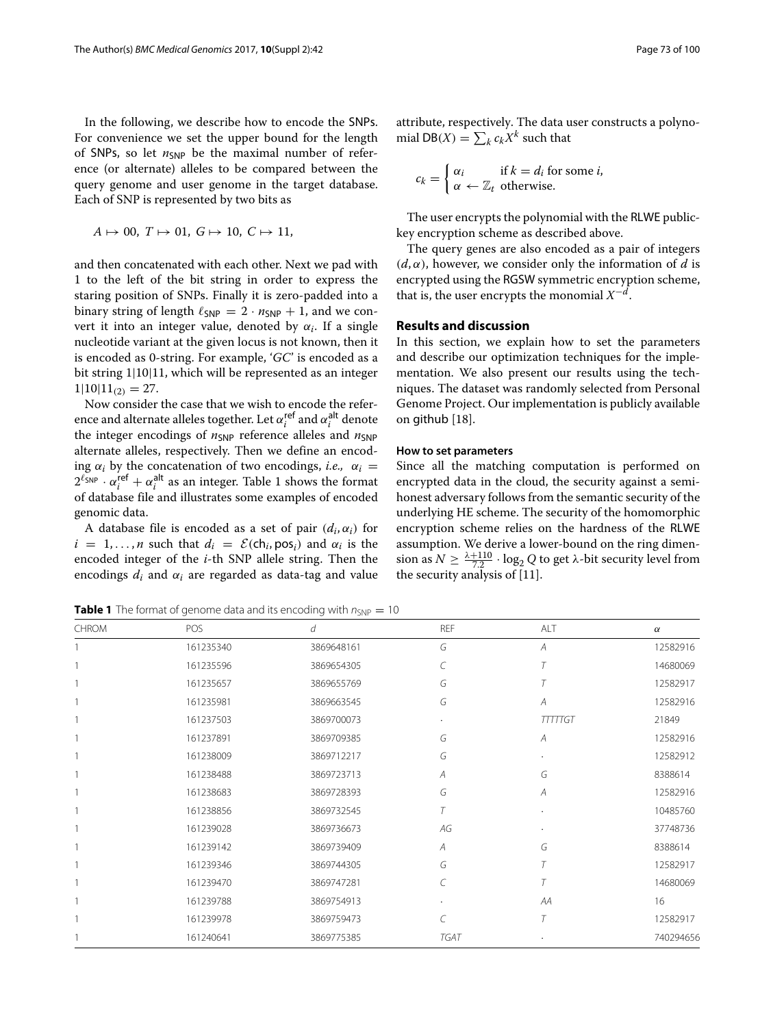In the following, we describe how to encode the SNPs. For convenience we set the upper bound for the length of SNPs, so let  $n_{SNP}$  be the maximal number of reference (or alternate) alleles to be compared between the query genome and user genome in the target database. Each of SNP is represented by two bits as

$$
A \mapsto 00, T \mapsto 01, G \mapsto 10, C \mapsto 11,
$$

and then concatenated with each other. Next we pad with 1 to the left of the bit string in order to express the staring position of SNPs. Finally it is zero-padded into a binary string of length  $\ell_{SNP} = 2 \cdot n_{SNP} + 1$ , and we convert it into an integer value, denoted by  $\alpha_i$ . If a single nucleotide variant at the given locus is not known, then it is encoded as 0-string. For example, '*GC*' is encoded as a bit string 1|10|11, which will be represented as an integer  $1|10|11_{(2)} = 27.$ 

Now consider the case that we wish to encode the reference and alternate alleles together. Let  $\alpha_i^{\text{ref}}$  and  $\alpha_i^{\text{alt}}$  denote the integer encodings of  $n_{SNP}$  reference alleles and  $n_{SNP}$ alternate alleles, respectively. Then we define an encoding  $\alpha_i$  by the concatenation of two encodings, *i.e.*,  $\alpha_i$  =  $2^{\ell_{\sf SNP}} \cdot \alpha^{\sf ref}_i + \alpha^{\sf alt}_i$  as an integer. Table [1](#page-4-0) shows the format of database file and illustrates some examples of encoded genomic data.

A database file is encoded as a set of pair  $(d_i, \alpha_i)$  for  $i = 1, \ldots, n$  such that  $d_i = \mathcal{E}(\mathsf{ch}_i, \mathsf{pos}_i)$  and  $\alpha_i$  is the encoded integer of the *i*-th SNP allele string. Then the encodings  $d_i$  and  $\alpha_i$  are regarded as data-tag and value attribute, respectively. The data user constructs a polynomial DB $(X) = \sum_{k} c_{k} X^{k}$  such that

$$
c_k = \begin{cases} \alpha_i & \text{if } k = d_i \text{ for some } i, \\ \alpha \leftarrow \mathbb{Z}_t & \text{otherwise.} \end{cases}
$$

The user encrypts the polynomial with the RLWE publickey encryption scheme as described above.

The query genes are also encoded as a pair of integers  $(d, \alpha)$ , however, we consider only the information of  $d$  is encrypted using the RGSW symmetric encryption scheme, that is, the user encrypts the monomial  $X^{-d}$ .

# **Results and discussion**

In this section, we explain how to set the parameters and describe our optimization techniques for the implementation. We also present our results using the techniques. The dataset was randomly selected from Personal Genome Project. Our implementation is publicly available on github [\[18\]](#page-7-16).

## **How to set parameters**

Since all the matching computation is performed on encrypted data in the cloud, the security against a semihonest adversary follows from the semantic security of the underlying HE scheme. The security of the homomorphic encryption scheme relies on the hardness of the RLWE assumption. We derive a lower-bound on the ring dimension as  $N \geq \frac{\lambda+110}{7.2} \cdot \log_2 Q$  to get  $\lambda$ -bit security level from the security analysis of [\[11\]](#page-7-9).

<span id="page-4-0"></span>**Table 1** The format of genome data and its encoding with  $n_{SNP} = 10$ 

| CHROM | POS       | d          | <b>REF</b>     | ALT            | $\alpha$  |
|-------|-----------|------------|----------------|----------------|-----------|
|       | 161235340 | 3869648161 | G              | A              | 12582916  |
|       | 161235596 | 3869654305 | C              | $\tau$         | 14680069  |
|       | 161235657 | 3869655769 | G              | Т              | 12582917  |
|       | 161235981 | 3869663545 | G              | A              | 12582916  |
|       | 161237503 | 3869700073 |                | <b>TTTTTGT</b> | 21849     |
|       | 161237891 | 3869709385 | G              | A              | 12582916  |
|       | 161238009 | 3869712217 | G              |                | 12582912  |
|       | 161238488 | 3869723713 | A              | G              | 8388614   |
|       | 161238683 | 3869728393 | G              | A              | 12582916  |
|       | 161238856 | 3869732545 | T              |                | 10485760  |
|       | 161239028 | 3869736673 | AG             |                | 37748736  |
|       | 161239142 | 3869739409 | $\overline{A}$ | G              | 8388614   |
|       | 161239346 | 3869744305 | G              | $\tau$         | 12582917  |
|       | 161239470 | 3869747281 | C              |                | 14680069  |
|       | 161239788 | 3869754913 |                | AA             | 16        |
|       | 161239978 | 3869759473 | C              | $\tau$         | 12582917  |
|       | 161240641 | 3869775385 | TGAT           |                | 740294656 |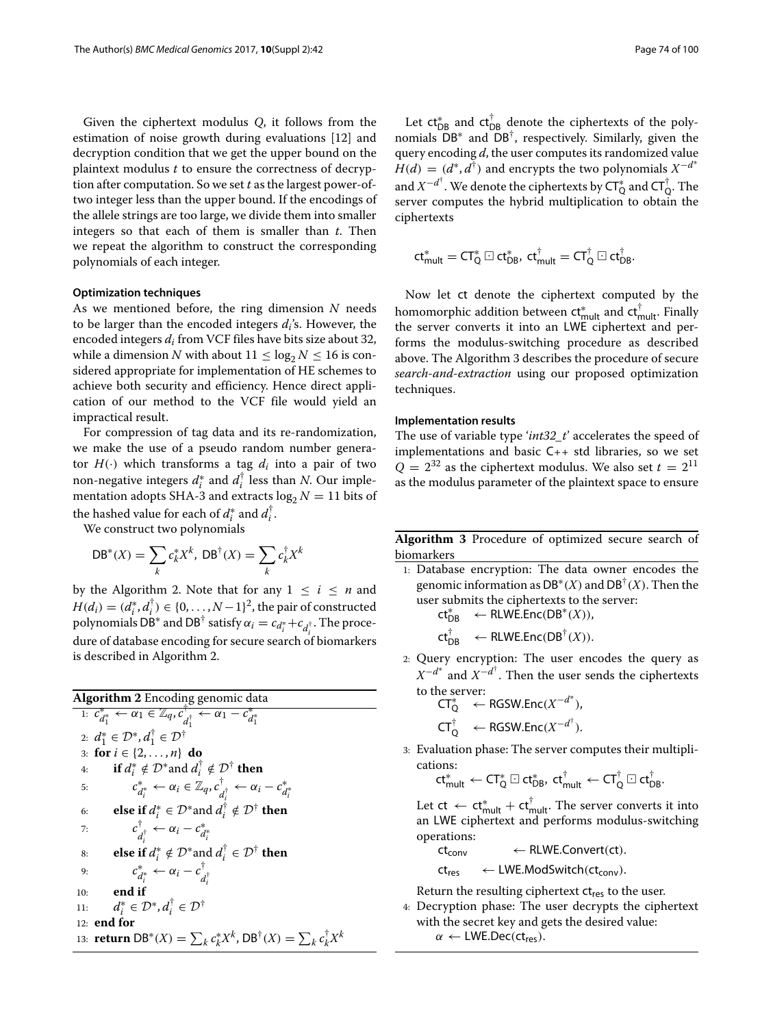Given the ciphertext modulus *Q*, it follows from the estimation of noise growth during evaluations [\[12\]](#page-7-10) and decryption condition that we get the upper bound on the plaintext modulus *t* to ensure the correctness of decryption after computation. So we set *t* as the largest power-oftwo integer less than the upper bound. If the encodings of the allele strings are too large, we divide them into smaller integers so that each of them is smaller than *t*. Then we repeat the algorithm to construct the corresponding polynomials of each integer.

#### **Optimization techniques**

As we mentioned before, the ring dimension *N* needs to be larger than the encoded integers *di*'s. However, the encoded integers *di* from VCF files have bits size about 32, while a dimension *N* with about  $11 \le \log_2 N \le 16$  is considered appropriate for implementation of HE schemes to achieve both security and efficiency. Hence direct application of our method to the VCF file would yield an impractical result.

For compression of tag data and its re-randomization, we make the use of a pseudo random number generator  $H(\cdot)$  which transforms a tag  $d_i$  into a pair of two non-negative integers  $d_i^*$  and  $d_i^{\dagger}$  less than *N*. Our implementation adopts SHA-3 and extracts  $log_2 N = 11$  bits of the hashed value for each of  $d_i^*$  and  $d_i^{\dagger}$ .

We construct two polynomials

$$
\mathsf{DB}^*(X) = \sum_k c_k^* X^k, \; \mathsf{DB}^\dagger(X) = \sum_k c_k^\dagger X^k
$$

by the Algorithm 2. Note that for any  $1 \leq i \leq n$  and  $H(d_i) = (d_i^*, d_i^\dagger) \in \{0, \ldots, N\!-\!1\}^2$ , the pair of constructed polynomials  $\mathsf{D}\mathsf{B}^*$  and  $\mathsf{D}\mathsf{B}^\dagger$  satisfy  $\alpha_i = c_{d_i^*} + c_{d_i^\dagger}.$  The proce*i* dure of database encoding for secure search of biomarkers is described in Algorithm 2.

# **Algorithm 2** Encoding genomic data 1:  $c_{d_1^*}^*$  ← α<sub>1</sub> ∈ ℤ<sub>*q*</sub>,  $c_{d_1^*}^*$  ← α<sub>1</sub> −  $c_{d_1^*}^*$

2:  $d_1^* \in \mathcal{D}^*, d_1^\dagger \in \mathcal{D}^\dagger$ 3: **for** *i* ∈ {2, ... , *n*} **do** 4: **if**  $d_i^* \notin \mathcal{D}^*$  and  $d_i^{\dagger} \notin \mathcal{D}^{\dagger}$  **then** 5:  $c_{d_i^*}^* \leftarrow \alpha_i \in \mathbb{Z}_q, c_{d_i^{\dagger}}^{\dagger} \leftarrow \alpha_i - c_{d_i^*}^*$ 6: **else if**  $d_i^* \in \mathcal{D}^*$  and  $d_i^{\dagger} \notin \mathcal{D}^{\dagger}$  **then** 7:  $c_{d_i^{\dagger}}^{\dagger} \leftarrow \alpha_i - c_{d_i^*}^*$ 8: **else if**  $d_i^* \notin \mathcal{D}^*$  and  $d_i^{\dagger} \in \mathcal{D}^{\dagger}$  **then** 9:  $c_{d_i^*}^* \leftarrow \alpha_i - c_{d_i^{\dagger}}^{\dagger}$ 10: **end if** 11:  $d_i^* \in \mathcal{D}^*, d_i^{\dagger} \in \mathcal{D}^{\dagger}$ 12: **end for** 13: **return**  $DB^*(X) = \sum_k c_k^* X^k$ ,  $DB^{\dagger}(X) = \sum_k c_k^{\dagger} X^k$  nomials DB<sup>∗</sup> and DB†, respectively. Similarly, given the query encoding *d*, the user computes its randomized value  $H(d) = (d^*, d^{\dagger})$  and encrypts the two polynomials  $X^{-d^*}$ and  $X^{-d^\dagger}$  . We denote the ciphertexts by CT $_{\mathsf{Q}}^*$  and CT $_{\mathsf{Q}}^\dagger$  . The server computes the hybrid multiplication to obtain the ciphertexts

$$
\mathsf{ct}^*_{\mathsf{mult}} = \mathsf{CT}^*_Q \boxdot \mathsf{ct}^*_{\mathsf{DB}}, \ \mathsf{ct}^\dagger_{\mathsf{mult}} = \mathsf{CT}^\dagger_Q \boxdot \mathsf{ct}^\dagger_{\mathsf{DB}}.
$$

Now let ct denote the ciphertext computed by the homomorphic addition between  $\mathsf{ct}^*_\mathsf{mult}$  and  $\mathsf{ct}^\dagger_\mathsf{mult}$ . Finally the server converts it into an LWE ciphertext and performs the modulus-switching procedure as described above. The Algorithm 3 describes the procedure of secure *search-and-extraction* using our proposed optimization techniques.

#### **Implementation results**

The use of variable type '*int32\_t*' accelerates the speed of implementations and basic C++ std libraries, so we set  $Q = 2^{32}$  as the ciphertext modulus. We also set  $t = 2^{11}$ as the modulus parameter of the plaintext space to ensure

**Algorithm 3** Procedure of optimized secure search of biomarkers

1: Database encryption: The data owner encodes the genomic information as  $DB^*(X)$  and  $DB^*(X)$ . Then the user submits the ciphertexts to the server:  $\mathsf{ct}^*_{\mathsf{DB}}$  ← RLWE.Enc(DB<sup>\*</sup>(*X*)),

 $\mathsf{ct}^\dagger_{\mathsf{DB}} \leftarrow \mathsf{RLWE}.\mathsf{Enc}(\mathsf{DB}^\dagger(X)).$ 

2: Query encryption: The user encodes the query as *X*−*d*<sup>∗</sup> and *X*−*d*† . Then the user sends the ciphertexts to the server:

$$
CT_Q^* \leftarrow \text{RGSW}.\text{Enc}(X^{-d^*}),
$$
  
\n
$$
CT_Q^{\dagger} \leftarrow \text{RGSW}.\text{Enc}(X^{-d^{\dagger}}).
$$

3: Evaluation phase: The server computes their multiplications:

 $\mathsf{ct}^*_{\mathsf{mult}} \leftarrow \mathsf{CT}^*_\mathsf{Q} \boxdot \mathsf{ct}^*_{\mathsf{DB}} ,~ \mathsf{ct}^\dagger_{\mathsf{mult}} \leftarrow \mathsf{CT}^\dagger_\mathsf{Q} \boxdot \mathsf{ct}^\dagger_{\mathsf{DB}} .$ 

Let  $ct \leftarrow ct^*_{mult} + ct^{\dagger}_{mult}$ . The server converts it into an LWE ciphertext and performs modulus-switching operations:

$$
ct_{conv} \leftarrow RLWE. Convert(ct).
$$

 $ct_{res}$  ← LWE.ModSwitch(ct<sub>conv</sub>).

Return the resulting ciphertext ct<sub>res</sub> to the user.

4: Decryption phase: The user decrypts the ciphertext with the secret key and gets the desired value:  $\alpha \leftarrow$  LWE.Dec(ct<sub>res</sub>).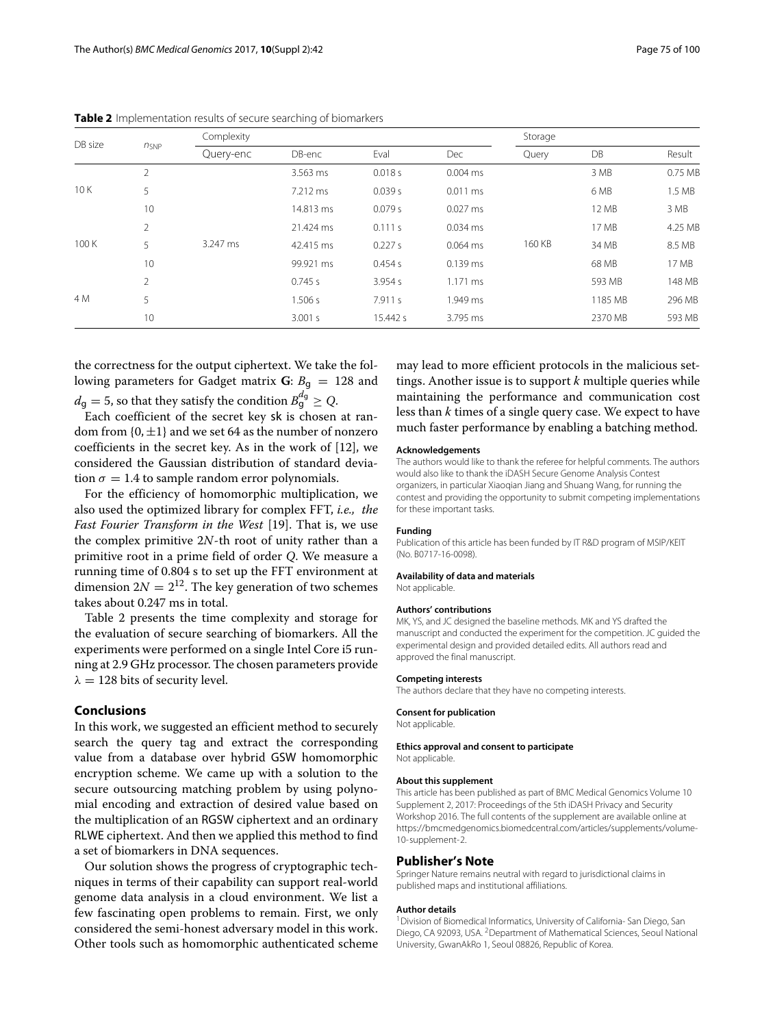| DB size |           | Complexity |           |          |                    | Storage |         |         |
|---------|-----------|------------|-----------|----------|--------------------|---------|---------|---------|
|         | $n_{SNP}$ | Query-enc  | DB-enc    | Eval     | Dec                | Query   | DB      | Result  |
| 10K     | 2         |            | 3.563 ms  | 0.018 s  | $0.004$ ms         |         | 3 MB    | 0.75 MB |
|         | 5         |            | 7.212 ms  | 0.039 s  | $0.011 \text{ ms}$ |         | 6 MB    | 1.5 MB  |
|         | 10        |            | 14.813 ms | 0.079 s  | $0.027$ ms         |         | 12 MB   | 3 MB    |
| 100 K   | 2         |            | 21.424 ms | 0.111 s  | $0.034$ ms         | 160 KB  | 17 MB   | 4.25 MB |
|         | 5         | 3.247 ms   | 42.415 ms | 0.227s   | 0.064 ms           |         | 34 MB   | 8.5 MB  |
|         | 10        |            | 99.921 ms | 0.454 s  | $0.139$ ms         |         | 68 MB   | 17 MB   |
| 4 M     | 2         |            | 0.745 s   | 3.954 s  | $1.171$ ms         |         | 593 MB  | 148 MB  |
|         | 5         |            | 1.506 s   | 7.911 s  | 1.949 ms           |         | 1185 MB | 296 MB  |
|         | 10        |            | 3.001 s   | 15.442 s | 3.795 ms           |         | 2370 MB | 593 MB  |

<span id="page-6-0"></span>**Table 2** Implementation results of secure searching of biomarkers

the correctness for the output ciphertext. We take the following parameters for Gadget matrix  $G: B<sub>g</sub> = 128$  and  $d_{\textsf{g}}=5$ , so that they satisfy the condition  $\emph{B}^{d_{\textsf{g}}}_{\textsf{g}}\geq \emph{Q}.$ 

Each coefficient of the secret key sk is chosen at random from  $\{0, \pm 1\}$  and we set 64 as the number of nonzero coefficients in the secret key. As in the work of [\[12\]](#page-7-10), we considered the Gaussian distribution of standard deviation  $\sigma = 1.4$  to sample random error polynomials.

For the efficiency of homomorphic multiplication, we also used the optimized library for complex FFT, *i.e., the Fast Fourier Transform in the West* [\[19\]](#page-7-17). That is, we use the complex primitive 2*N*-th root of unity rather than a primitive root in a prime field of order *Q*. We measure a running time of 0.804 s to set up the FFT environment at dimension  $2N = 2^{12}$ . The key generation of two schemes takes about 0.247 ms in total.

Table [2](#page-6-0) presents the time complexity and storage for the evaluation of secure searching of biomarkers. All the experiments were performed on a single Intel Core i5 running at 2.9 GHz processor. The chosen parameters provide  $\lambda = 128$  bits of security level.

#### **Conclusions**

In this work, we suggested an efficient method to securely search the query tag and extract the corresponding value from a database over hybrid GSW homomorphic encryption scheme. We came up with a solution to the secure outsourcing matching problem by using polynomial encoding and extraction of desired value based on the multiplication of an RGSW ciphertext and an ordinary RLWE ciphertext. And then we applied this method to find a set of biomarkers in DNA sequences.

Our solution shows the progress of cryptographic techniques in terms of their capability can support real-world genome data analysis in a cloud environment. We list a few fascinating open problems to remain. First, we only considered the semi-honest adversary model in this work. Other tools such as homomorphic authenticated scheme

may lead to more efficient protocols in the malicious settings. Another issue is to support *k* multiple queries while maintaining the performance and communication cost less than *k* times of a single query case. We expect to have much faster performance by enabling a batching method.

#### **Acknowledgements**

The authors would like to thank the referee for helpful comments. The authors would also like to thank the iDASH Secure Genome Analysis Contest organizers, in particular Xiaoqian Jiang and Shuang Wang, for running the contest and providing the opportunity to submit competing implementations for these important tasks.

#### **Funding**

Publication of this article has been funded by IT R&D program of MSIP/KEIT (No. B0717-16-0098).

#### **Availability of data and materials**

Not applicable.

#### **Authors' contributions**

MK, YS, and JC designed the baseline methods. MK and YS drafted the manuscript and conducted the experiment for the competition. JC guided the experimental design and provided detailed edits. All authors read and approved the final manuscript.

#### **Competing interests**

The authors declare that they have no competing interests.

#### **Consent for publication**

Not applicable.

#### **Ethics approval and consent to participate**

Not applicable.

#### **About this supplement**

This article has been published as part of BMC Medical Genomics Volume 10 Supplement 2, 2017: Proceedings of the 5th iDASH Privacy and Security Workshop 2016. The full contents of the supplement are available online at [https://bmcmedgenomics.biomedcentral.com/articles/supplements/volume-](https://bmcmedgenomics.biomedcentral.com/articles/supplements/volume-10-supplement-2.)[10-supplement-2.](https://bmcmedgenomics.biomedcentral.com/articles/supplements/volume-10-supplement-2.)

#### **Publisher's Note**

Springer Nature remains neutral with regard to jurisdictional claims in published maps and institutional affiliations.

#### **Author details**

<sup>1</sup> Division of Biomedical Informatics, University of California- San Diego, San Diego, CA 92093, USA. 2Department of Mathematical Sciences, Seoul National University, GwanAkRo 1, Seoul 08826, Republic of Korea.